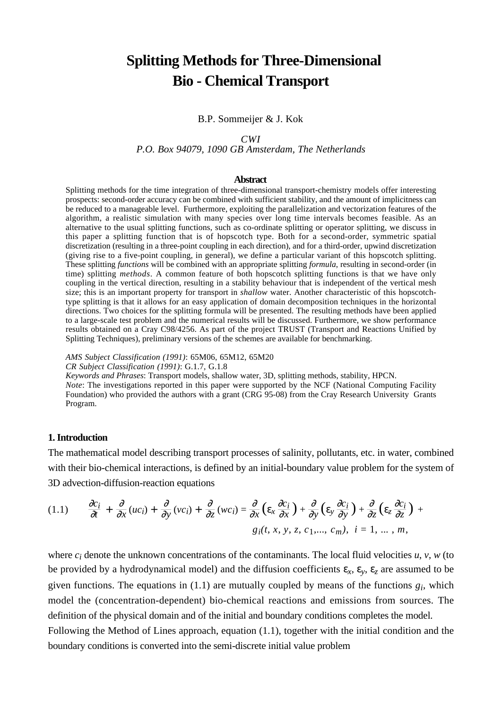# **Splitting Methods for Three-Dimensional Bio - Chemical Transport**

B.P. Sommeijer & J. Kok

*CWI P.O. Box 94079, 1090 GB Amsterdam, The Netherlands*

#### **Abstract**

Splitting methods for the time integration of three-dimensional transport-chemistry models offer interesting prospects: second-order accuracy can be combined with sufficient stability, and the amount of implicitness can be reduced to a manageable level. Furthermore, exploiting the parallelization and vectorization features of the algorithm, a realistic simulation with many species over long time intervals becomes feasible. As an alternative to the usual splitting functions, such as co-ordinate splitting or operator splitting, we discuss in this paper a splitting function that is of hopscotch type. Both for a second-order, symmetric spatial discretization (resulting in a three-point coupling in each direction), and for a third-order, upwind discretization (giving rise to a five-point coupling, in general), we define a particular variant of this hopscotch splitting. These splitting *functions* will be combined with an appropriate splitting *formula*, resulting in second-order (in time) splitting *methods*. A common feature of both hopscotch splitting functions is that we have only coupling in the vertical direction, resulting in a stability behaviour that is independent of the vertical mesh size; this is an important property for transport in *shallow* water. Another characteristic of this hopscotchtype splitting is that it allows for an easy application of domain decomposition techniques in the horizontal directions. Two choices for the splitting formula will be presented. The resulting methods have been applied to a large-scale test problem and the numerical results will be discussed. Furthermore, we show performance results obtained on a Cray C98/4256. As part of the project TRUST (Transport and Reactions Unified by Splitting Techniques), preliminary versions of the schemes are available for benchmarking.

*AMS Subject Classification (1991)*: 65M06, 65M12, 65M20

*CR Subject Classification (1991)*: G.1.7, G.1.8

*Keywords and Phrases*: Transport models, shallow water, 3D, splitting methods, stability, HPCN. *Note*: The investigations reported in this paper were supported by the NCF (National Computing Facility Foundation) who provided the authors with a grant (CRG 95-08) from the Cray Research University Grants Program.

## **1. Introduction**

The mathematical model describing transport processes of salinity, pollutants, etc. in water, combined with their bio-chemical interactions, is defined by an initial-boundary value problem for the system of 3D advection-diffusion-reaction equations

(1.1) 
$$
\frac{\partial c_i}{\partial t} + \frac{\partial}{\partial x}(uc_i) + \frac{\partial}{\partial y}(vc_i) + \frac{\partial}{\partial z}(wc_i) = \frac{\partial}{\partial x}\left(\varepsilon_x \frac{\partial c_i}{\partial x}\right) + \frac{\partial}{\partial y}\left(\varepsilon_y \frac{\partial c_i}{\partial y}\right) + \frac{\partial}{\partial z}\left(\varepsilon_z \frac{\partial c_i}{\partial z}\right) + g_i(t, x, y, z, c_1, ..., c_m), \quad i = 1, ..., m,
$$

where  $c_i$  denote the unknown concentrations of the contaminants. The local fluid velocities  $u$ ,  $v$ ,  $w$  (to be provided by a hydrodynamical model) and the diffusion coefficients  $\varepsilon_x$ ,  $\varepsilon_y$ ,  $\varepsilon_z$  are assumed to be given functions. The equations in  $(1.1)$  are mutually coupled by means of the functions  $g_i$ , which model the (concentration-dependent) bio-chemical reactions and emissions from sources. The definition of the physical domain and of the initial and boundary conditions completes the model.

Following the Method of Lines approach, equation (1.1), together with the initial condition and the boundary conditions is converted into the semi-discrete initial value problem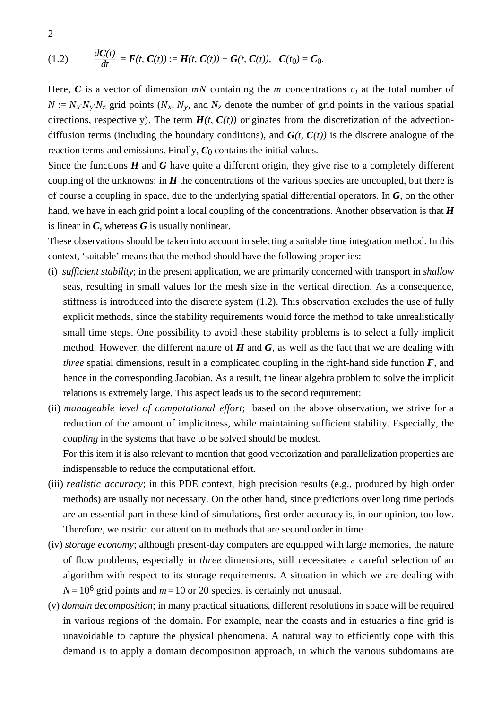(1.2) 
$$
\frac{dC(t)}{dt} = F(t, C(t)) := H(t, C(t)) + G(t, C(t)), C(t_0) = C_0.
$$

Here, C is a vector of dimension  $mN$  containing the  $m$  concentrations  $c_i$  at the total number of  $N := N_x N_y N_z$  grid points  $(N_x, N_y,$  and  $N_z$  denote the number of grid points in the various spatial directions, respectively). The term  $H(t, C(t))$  originates from the discretization of the advectiondiffusion terms (including the boundary conditions), and  $G(t, C(t))$  is the discrete analogue of the reaction terms and emissions. Finally,  $C_0$  contains the initial values.

Since the functions  $H$  and  $G$  have quite a different origin, they give rise to a completely different coupling of the unknowns: in  $H$  the concentrations of the various species are uncoupled, but there is of course a coupling in space, due to the underlying spatial differential operators. In *G*, on the other hand, we have in each grid point a local coupling of the concentrations. Another observation is that *H* is linear in *C*, whereas *G* is usually nonlinear.

These observations should be taken into account in selecting a suitable time integration method. In this context, 'suitable' means that the method should have the following properties:

- (i) *sufficient stability*; in the present application, we are primarily concerned with transport in *shallow* seas, resulting in small values for the mesh size in the vertical direction. As a consequence, stiffness is introduced into the discrete system (1.2). This observation excludes the use of fully explicit methods, since the stability requirements would force the method to take unrealistically small time steps. One possibility to avoid these stability problems is to select a fully implicit method. However, the different nature of  $H$  and  $G$ , as well as the fact that we are dealing with *three* spatial dimensions, result in a complicated coupling in the right-hand side function *F*, and hence in the corresponding Jacobian. As a result, the linear algebra problem to solve the implicit relations is extremely large. This aspect leads us to the second requirement:
- (ii) *manageable level of computational effort*; based on the above observation, we strive for a reduction of the amount of implicitness, while maintaining sufficient stability. Especially, the *coupling* in the systems that have to be solved should be modest. For this item it is also relevant to mention that good vectorization and parallelization properties are

indispensable to reduce the computational effort.

- (iii) *realistic accuracy*; in this PDE context, high precision results (e.g., produced by high order methods) are usually not necessary. On the other hand, since predictions over long time periods are an essential part in these kind of simulations, first order accuracy is, in our opinion, too low. Therefore, we restrict our attention to methods that are second order in time.
- (iv) *storage economy*; although present-day computers are equipped with large memories, the nature of flow problems, especially in *three* dimensions, still necessitates a careful selection of an algorithm with respect to its storage requirements. A situation in which we are dealing with  $N = 10^6$  grid points and  $m = 10$  or 20 species, is certainly not unusual.
- (v) *domain decomposition*; in many practical situations, different resolutions in space will be required in various regions of the domain. For example, near the coasts and in estuaries a fine grid is unavoidable to capture the physical phenomena. A natural way to efficiently cope with this demand is to apply a domain decomposition approach, in which the various subdomains are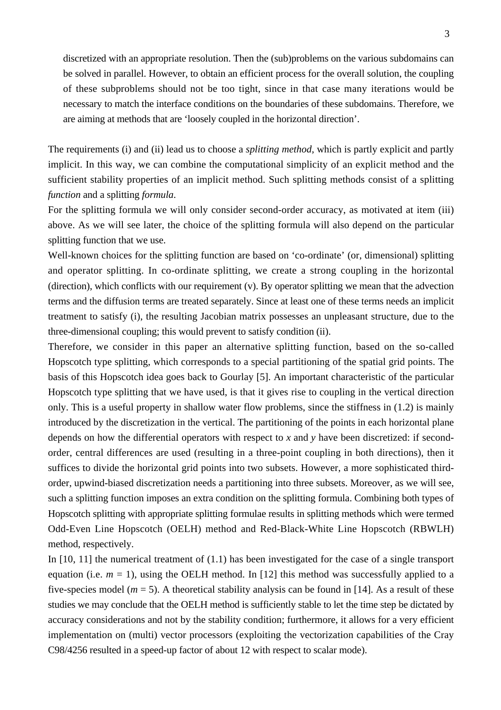discretized with an appropriate resolution. Then the (sub)problems on the various subdomains can be solved in parallel. However, to obtain an efficient process for the overall solution, the coupling of these subproblems should not be too tight, since in that case many iterations would be necessary to match the interface conditions on the boundaries of these subdomains. Therefore, we are aiming at methods that are 'loosely coupled in the horizontal direction'.

The requirements (i) and (ii) lead us to choose a *splitting method*, which is partly explicit and partly implicit. In this way, we can combine the computational simplicity of an explicit method and the sufficient stability properties of an implicit method. Such splitting methods consist of a splitting *function* and a splitting *formula*.

For the splitting formula we will only consider second-order accuracy, as motivated at item (iii) above. As we will see later, the choice of the splitting formula will also depend on the particular splitting function that we use.

Well-known choices for the splitting function are based on 'co-ordinate' (or, dimensional) splitting and operator splitting. In co-ordinate splitting, we create a strong coupling in the horizontal (direction), which conflicts with our requirement (v). By operator splitting we mean that the advection terms and the diffusion terms are treated separately. Since at least one of these terms needs an implicit treatment to satisfy (i), the resulting Jacobian matrix possesses an unpleasant structure, due to the three-dimensional coupling; this would prevent to satisfy condition (ii).

Therefore, we consider in this paper an alternative splitting function, based on the so-called Hopscotch type splitting, which corresponds to a special partitioning of the spatial grid points. The basis of this Hopscotch idea goes back to Gourlay [5]. An important characteristic of the particular Hopscotch type splitting that we have used, is that it gives rise to coupling in the vertical direction only. This is a useful property in shallow water flow problems, since the stiffness in (1.2) is mainly introduced by the discretization in the vertical. The partitioning of the points in each horizontal plane depends on how the differential operators with respect to *x* and *y* have been discretized: if secondorder, central differences are used (resulting in a three-point coupling in both directions), then it suffices to divide the horizontal grid points into two subsets. However, a more sophisticated thirdorder, upwind-biased discretization needs a partitioning into three subsets. Moreover, as we will see, such a splitting function imposes an extra condition on the splitting formula. Combining both types of Hopscotch splitting with appropriate splitting formulae results in splitting methods which were termed Odd-Even Line Hopscotch (OELH) method and Red-Black-White Line Hopscotch (RBWLH) method, respectively.

In [10, 11] the numerical treatment of  $(1.1)$  has been investigated for the case of a single transport equation (i.e.  $m = 1$ ), using the OELH method. In [12] this method was successfully applied to a five-species model ( $m = 5$ ). A theoretical stability analysis can be found in [14]. As a result of these studies we may conclude that the OELH method is sufficiently stable to let the time step be dictated by accuracy considerations and not by the stability condition; furthermore, it allows for a very efficient implementation on (multi) vector processors (exploiting the vectorization capabilities of the Cray C98/4256 resulted in a speed-up factor of about 12 with respect to scalar mode).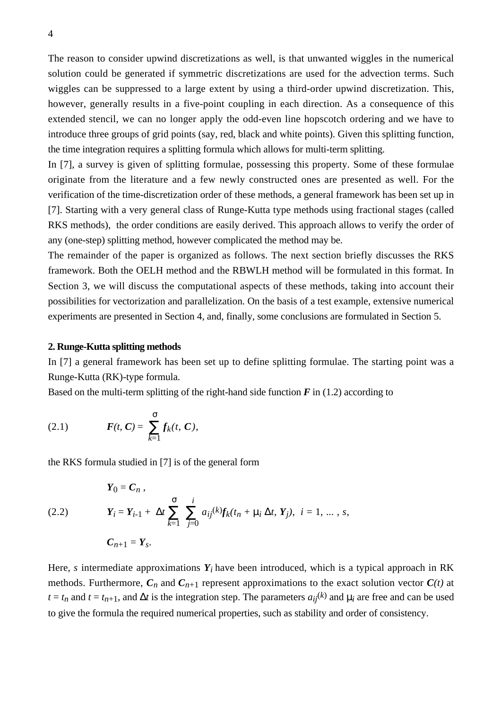The reason to consider upwind discretizations as well, is that unwanted wiggles in the numerical solution could be generated if symmetric discretizations are used for the advection terms. Such wiggles can be suppressed to a large extent by using a third-order upwind discretization. This, however, generally results in a five-point coupling in each direction. As a consequence of this extended stencil, we can no longer apply the odd-even line hopscotch ordering and we have to introduce three groups of grid points (say, red, black and white points). Given this splitting function, the time integration requires a splitting formula which allows for multi-term splitting.

In [7], a survey is given of splitting formulae, possessing this property. Some of these formulae originate from the literature and a few newly constructed ones are presented as well. For the verification of the time-discretization order of these methods, a general framework has been set up in [7]. Starting with a very general class of Runge-Kutta type methods using fractional stages (called RKS methods), the order conditions are easily derived. This approach allows to verify the order of any (one-step) splitting method, however complicated the method may be.

The remainder of the paper is organized as follows. The next section briefly discusses the RKS framework. Both the OELH method and the RBWLH method will be formulated in this format. In Section 3, we will discuss the computational aspects of these methods, taking into account their possibilities for vectorization and parallelization. On the basis of a test example, extensive numerical experiments are presented in Section 4, and, finally, some conclusions are formulated in Section 5.

## **2. Runge-Kutta splitting methods**

In [7] a general framework has been set up to define splitting formulae. The starting point was a Runge-Kutta (RK)-type formula.

Based on the multi-term splitting of the right-hand side function  $\vec{F}$  in (1.2) according to

(2.1) 
$$
F(t, C) = \sum_{k=1}^{G} f_k(t, C),
$$

the RKS formula studied in [7] is of the general form

(2.2) 
$$
Y_0 = C_n,
$$
  
\n
$$
Y_i = Y_{i-1} + \Delta t \sum_{k=1}^{\sigma} \sum_{j=0}^{i} a_{ij}^{(k)} f_k(t_n + \mu_i \Delta t, Y_j), \quad i = 1, ..., s,
$$
  
\n
$$
C_{n+1} = Y_s.
$$

Here, *s* intermediate approximations  $Y_i$  have been introduced, which is a typical approach in RK methods. Furthermore,  $C_n$  and  $C_{n+1}$  represent approximations to the exact solution vector  $C(t)$  at  $t = t_n$  and  $t = t_{n+1}$ , and  $\Delta t$  is the integration step. The parameters  $a_{ij}^{(k)}$  and  $\mu_i$  are free and can be used to give the formula the required numerical properties, such as stability and order of consistency.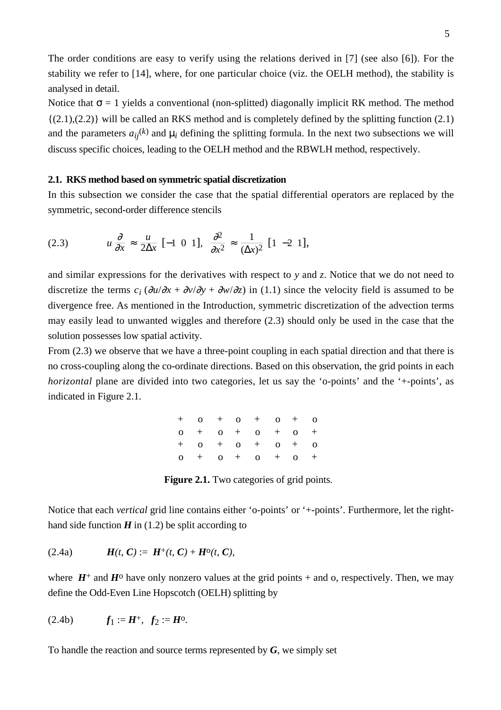The order conditions are easy to verify using the relations derived in [7] (see also [6]). For the stability we refer to [14], where, for one particular choice (viz. the OELH method), the stability is analysed in detail.

Notice that  $\sigma = 1$  yields a conventional (non-splitted) diagonally implicit RK method. The method  $\{(2.1),(2.2)\}\$  will be called an RKS method and is completely defined by the splitting function (2.1) and the parameters  $a_{ij}(k)$  and  $\mu_i$  defining the splitting formula. In the next two subsections we will discuss specific choices, leading to the OELH method and the RBWLH method, respectively.

### **2.1. RKS method based on symmetric spatial discretization**

In this subsection we consider the case that the spatial differential operators are replaced by the symmetric, second-order difference stencils

$$
(2.3) \t u \frac{\partial}{\partial x} \approx \frac{u}{2\Delta x} [-1 \ 0 \ 1], \frac{\partial^2}{\partial x^2} \approx \frac{1}{(\Delta x)^2} [1 \ -2 \ 1],
$$

and similar expressions for the derivatives with respect to *y* and *z*. Notice that we do not need to discretize the terms  $c_i (\partial u/\partial x + \partial v/\partial y + \partial w/\partial z)$  in (1.1) since the velocity field is assumed to be divergence free. As mentioned in the Introduction, symmetric discretization of the advection terms may easily lead to unwanted wiggles and therefore (2.3) should only be used in the case that the solution possesses low spatial activity.

From (2.3) we observe that we have a three-point coupling in each spatial direction and that there is no cross-coupling along the co-ordinate directions. Based on this observation, the grid points in each *horizontal* plane are divided into two categories, let us say the 'o-points' and the '+-points', as indicated in Figure 2.1.

| $+ \quad 0 \quad + \quad 0 \quad + \quad 0 \quad + \quad 0$ |  |  |  |
|-------------------------------------------------------------|--|--|--|
| $\begin{matrix} 0 & + & 0 & + & 0 & + & 0 & + \end{matrix}$ |  |  |  |
| $+ \quad 0 \quad + \quad 0 \quad + \quad 0 \quad + \quad 0$ |  |  |  |
| $\begin{matrix} 0 & + & 0 & + & 0 & + & 0 & + \end{matrix}$ |  |  |  |

**Figure 2.1.** Two categories of grid points.

Notice that each *vertical* grid line contains either 'o-points' or '+-points'. Furthermore, let the righthand side function  $H$  in (1.2) be split according to

(2.4a) 
$$
H(t, C) := H^+(t, C) + H^0(t, C),
$$

where  $H^+$  and  $H^0$  have only nonzero values at the grid points  $+$  and o, respectively. Then, we may define the Odd-Even Line Hopscotch (OELH) splitting by

(2.4b) 
$$
f_1 := H^+, f_2 := H^0.
$$

To handle the reaction and source terms represented by *G*, we simply set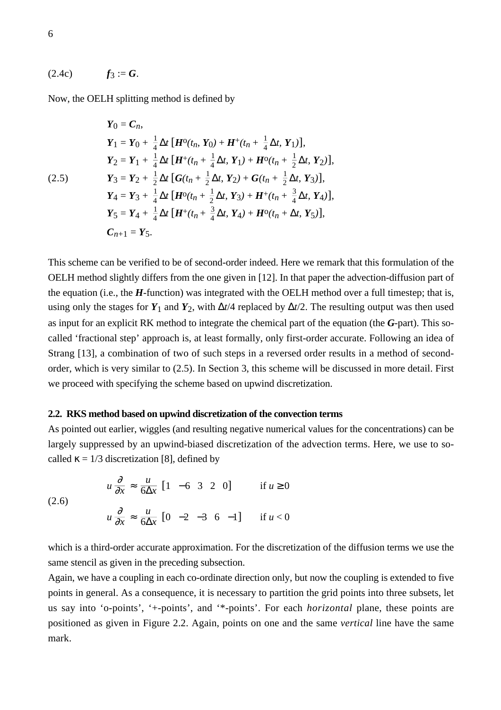$$
(2.4c) \t\t f_3 := G.
$$

Now, the OELH splitting method is defined by

$$
Y_0 = C_n,
$$
  
\n
$$
Y_1 = Y_0 + \frac{1}{4} \Delta t \left[ H^0(t_n, Y_0) + H^+(t_n + \frac{1}{4} \Delta t, Y_1) \right],
$$
  
\n
$$
Y_2 = Y_1 + \frac{1}{4} \Delta t \left[ H^+(t_n + \frac{1}{4} \Delta t, Y_1) + H^0(t_n + \frac{1}{2} \Delta t, Y_2) \right],
$$
  
\n
$$
Y_3 = Y_2 + \frac{1}{2} \Delta t \left[ G(t_n + \frac{1}{2} \Delta t, Y_2) + G(t_n + \frac{1}{2} \Delta t, Y_3) \right],
$$
  
\n
$$
Y_4 = Y_3 + \frac{1}{4} \Delta t \left[ H^0(t_n + \frac{1}{2} \Delta t, Y_3) + H^+(t_n + \frac{3}{4} \Delta t, Y_4) \right],
$$
  
\n
$$
Y_5 = Y_4 + \frac{1}{4} \Delta t \left[ H^+(t_n + \frac{3}{4} \Delta t, Y_4) + H^0(t_n + \Delta t, Y_5) \right],
$$
  
\n
$$
C_{n+1} = Y_5.
$$

This scheme can be verified to be of second-order indeed. Here we remark that this formulation of the OELH method slightly differs from the one given in [12]. In that paper the advection-diffusion part of the equation (i.e., the  $H$ -function) was integrated with the OELH method over a full timestep; that is, using only the stages for  $Y_1$  and  $Y_2$ , with  $\Delta t/4$  replaced by  $\Delta t/2$ . The resulting output was then used as input for an explicit RK method to integrate the chemical part of the equation (the *G*-part). This socalled 'fractional step' approach is, at least formally, only first-order accurate. Following an idea of Strang [13], a combination of two of such steps in a reversed order results in a method of secondorder, which is very similar to (2.5). In Section 3, this scheme will be discussed in more detail. First we proceed with specifying the scheme based on upwind discretization.

#### **2.2. RKS method based on upwind discretization of the convection terms**

As pointed out earlier, wiggles (and resulting negative numerical values for the concentrations) can be largely suppressed by an upwind-biased discretization of the advection terms. Here, we use to socalled  $\kappa = 1/3$  discretization [8], defined by

(2.6)

∂

$$
u \frac{\partial}{\partial x} \approx \frac{u}{6\Delta x} [1 - 6 \quad 3 \quad 2 \quad 0] \qquad \text{if } u \ge 0
$$
  

$$
u \frac{\partial}{\partial x} \approx \frac{u}{6\Delta x} [0 -2 -3 \quad 6 \quad -1] \qquad \text{if } u < 0
$$

which is a third-order accurate approximation. For the discretization of the diffusion terms we use the same stencil as given in the preceding subsection.

Again, we have a coupling in each co-ordinate direction only, but now the coupling is extended to five points in general. As a consequence, it is necessary to partition the grid points into three subsets, let us say into 'o-points', '+-points', and '\*-points'. For each *horizontal* plane, these points are positioned as given in Figure 2.2. Again, points on one and the same *vertical* line have the same mark.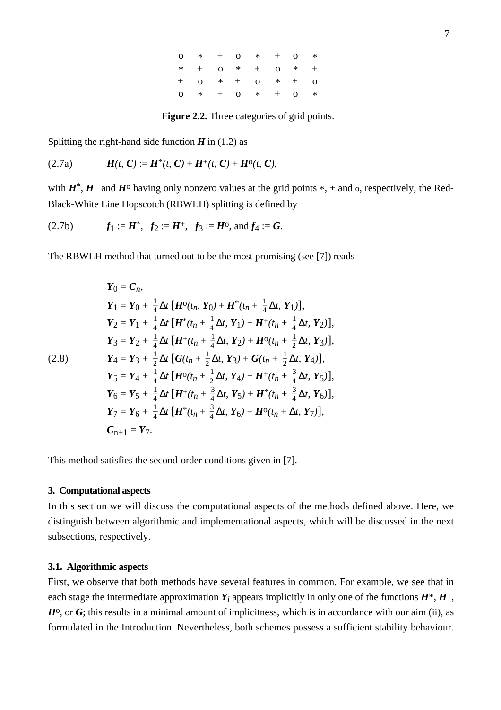| $0 * + 0 * + 0 *$ |  |  |  |
|-------------------|--|--|--|
| $* + 0 * + 0 * +$ |  |  |  |
| $+$ 0 * + 0 * + 0 |  |  |  |
| $0 * + 0 * + 0 *$ |  |  |  |

**Figure 2.2.** Three categories of grid points.

Splitting the right-hand side function  $H$  in (1.2) as

(2.7a) 
$$
H(t, C) := H^*(t, C) + H^+(t, C) + H^0(t, C),
$$

with  $H^*$ ,  $H^+$  and  $H^0$  having only nonzero values at the grid points  $*$ ,  $+$  and  $\infty$ , respectively, the Red-Black-White Line Hopscotch (RBWLH) splitting is defined by

(2.7b) 
$$
f_1 := H^*
$$
,  $f_2 := H^+$ ,  $f_3 := H^0$ , and  $f_4 := G$ .

The RBWLH method that turned out to be the most promising (see [7]) reads

$$
Y_0 = C_n,
$$
  
\n
$$
Y_1 = Y_0 + \frac{1}{4} \Delta t \left[ H^0(t_n, Y_0) + H^*(t_n + \frac{1}{4} \Delta t, Y_1) \right],
$$
  
\n
$$
Y_2 = Y_1 + \frac{1}{4} \Delta t \left[ H^*(t_n + \frac{1}{4} \Delta t, Y_1) + H^+(t_n + \frac{1}{4} \Delta t, Y_2) \right],
$$
  
\n
$$
Y_3 = Y_2 + \frac{1}{4} \Delta t \left[ H^+(t_n + \frac{1}{4} \Delta t, Y_2) + H^0(t_n + \frac{1}{2} \Delta t, Y_3) \right],
$$
  
\n
$$
Y_4 = Y_3 + \frac{1}{2} \Delta t \left[ G(t_n + \frac{1}{2} \Delta t, Y_3) + G(t_n + \frac{1}{2} \Delta t, Y_4) \right],
$$
  
\n
$$
Y_5 = Y_4 + \frac{1}{4} \Delta t \left[ H^0(t_n + \frac{1}{2} \Delta t, Y_4) + H^+(t_n + \frac{3}{4} \Delta t, Y_5) \right],
$$
  
\n
$$
Y_6 = Y_5 + \frac{1}{4} \Delta t \left[ H^+(t_n + \frac{3}{4} \Delta t, Y_5) + H^*(t_n + \frac{3}{4} \Delta t, Y_6) \right],
$$
  
\n
$$
Y_7 = Y_6 + \frac{1}{4} \Delta t \left[ H^*(t_n + \frac{3}{4} \Delta t, Y_6) + H^0(t_n + \Delta t, Y_7) \right],
$$
  
\n
$$
C_{n+1} = Y_7.
$$

This method satisfies the second-order conditions given in [7].

# **3. Computational aspects**

In this section we will discuss the computational aspects of the methods defined above. Here, we distinguish between algorithmic and implementational aspects, which will be discussed in the next subsections, respectively.

# **3.1. Algorithmic aspects**

First, we observe that both methods have several features in common. For example, we see that in each stage the intermediate approximation  $Y_i$  appears implicitly in only one of the functions  $H^*, H^+,$ *H*<sup>o</sup>, or *G*; this results in a minimal amount of implicitness, which is in accordance with our aim (ii), as formulated in the Introduction. Nevertheless, both schemes possess a sufficient stability behaviour.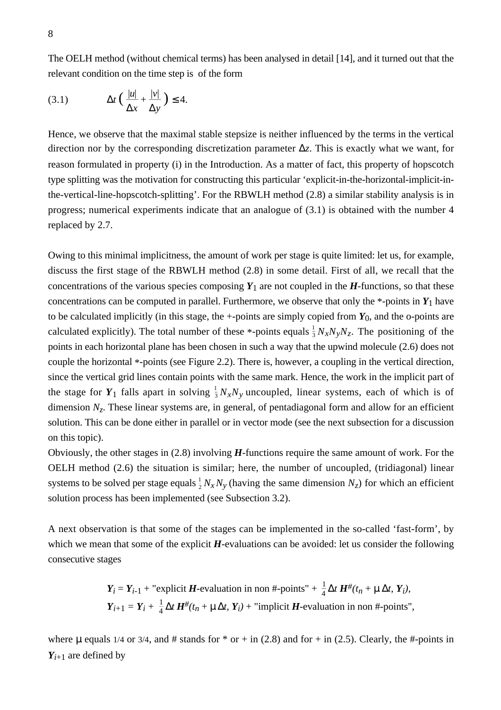The OELH method (without chemical terms) has been analysed in detail [14], and it turned out that the relevant condition on the time step is of the form

$$
(3.1) \t\t \Delta t \left( \frac{|u|}{\Delta x} + \frac{|v|}{\Delta y} \right) \le 4.
$$

Hence, we observe that the maximal stable stepsize is neither influenced by the terms in the vertical direction nor by the corresponding discretization parameter ∆*z*. This is exactly what we want, for reason formulated in property (i) in the Introduction. As a matter of fact, this property of hopscotch type splitting was the motivation for constructing this particular 'explicit-in-the-horizontal-implicit-inthe-vertical-line-hopscotch-splitting'. For the RBWLH method (2.8) a similar stability analysis is in progress; numerical experiments indicate that an analogue of (3.1) is obtained with the number 4 replaced by 2.7.

Owing to this minimal implicitness, the amount of work per stage is quite limited: let us, for example, discuss the first stage of the RBWLH method (2.8) in some detail. First of all, we recall that the concentrations of the various species composing  $Y_1$  are not coupled in the *H*-functions, so that these concentrations can be computed in parallel. Furthermore, we observe that only the  $*$ -points in  $Y_1$  have to be calculated implicitly (in this stage, the  $+$ -points are simply copied from  $Y_0$ , and the o-points are calculated explicitly). The total number of these \*-points equals  $\frac{1}{3}N_xN_yN_z$ . The positioning of the points in each horizontal plane has been chosen in such a way that the upwind molecule (2.6) does not couple the horizontal \*-points (see Figure 2.2). There is, however, a coupling in the vertical direction, since the vertical grid lines contain points with the same mark. Hence, the work in the implicit part of the stage for  $Y_1$  falls apart in solving  $\frac{1}{3}N_XN_Y$  uncoupled, linear systems, each of which is of dimension *Nz* . These linear systems are, in general, of pentadiagonal form and allow for an efficient solution. This can be done either in parallel or in vector mode (see the next subsection for a discussion on this topic).

Obviously, the other stages in (2.8) involving *H*-functions require the same amount of work. For the OELH method (2.6) the situation is similar; here, the number of uncoupled, (tridiagonal) linear systems to be solved per stage equals  $\frac{1}{2}N_{x}N_{y}$  (having the same dimension  $N_{z}$ ) for which an efficient solution process has been implemented (see Subsection 3.2).

A next observation is that some of the stages can be implemented in the so-called 'fast-form', by which we mean that some of the explicit *H*-evaluations can be avoided: let us consider the following consecutive stages

$$
Y_i = Y_{i-1} + \text{``explicit } H\text{-evaluation in non #-points''} + \frac{1}{4} \Delta t \ H^{\#}(t_n + \mu \Delta t, Y_i),
$$
  

$$
Y_{i+1} = Y_i + \frac{1}{4} \Delta t \ H^{\#}(t_n + \mu \Delta t, Y_i) + \text{''implicit } H\text{-evaluation in non #-points''},
$$

where  $\mu$  equals 1/4 or 3/4, and # stands for  $*$  or + in (2.8) and for + in (2.5). Clearly, the #-points in  $Y_{i+1}$  are defined by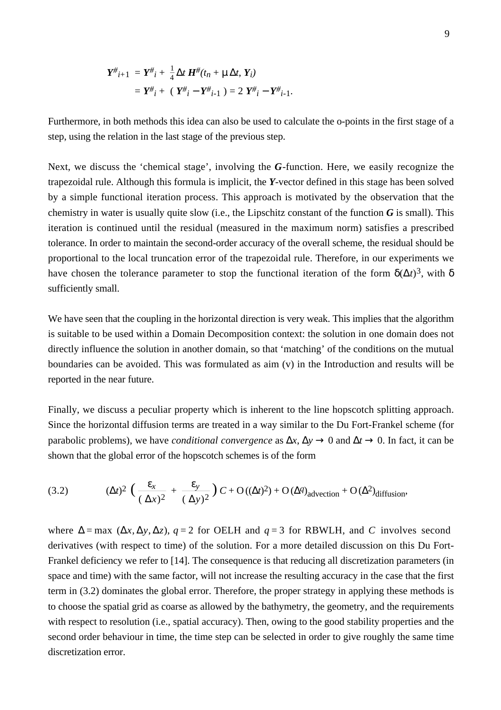$$
Y^{\#}_{i+1} = Y^{\#}_{i} + \frac{1}{4} \Delta t \ H^{\#}(t_n + \mu \Delta t, Y_i)
$$
  
=  $Y^{\#}_{i} + (Y^{\#}_{i} - Y^{\#}_{i-1}) = 2 Y^{\#}_{i} - Y^{\#}_{i-1}.$ 

Furthermore, in both methods this idea can also be used to calculate the o-points in the first stage of a step, using the relation in the last stage of the previous step.

Next, we discuss the 'chemical stage', involving the *G*-function. Here, we easily recognize the trapezoidal rule. Although this formula is implicit, the *Y*-vector defined in this stage has been solved by a simple functional iteration process. This approach is motivated by the observation that the chemistry in water is usually quite slow (i.e., the Lipschitz constant of the function *G* is small). This iteration is continued until the residual (measured in the maximum norm) satisfies a prescribed tolerance. In order to maintain the second-order accuracy of the overall scheme, the residual should be proportional to the local truncation error of the trapezoidal rule. Therefore, in our experiments we have chosen the tolerance parameter to stop the functional iteration of the form  $\delta(\Delta t)^3$ , with  $\delta$ sufficiently small.

We have seen that the coupling in the horizontal direction is very weak. This implies that the algorithm is suitable to be used within a Domain Decomposition context: the solution in one domain does not directly influence the solution in another domain, so that 'matching' of the conditions on the mutual boundaries can be avoided. This was formulated as aim (v) in the Introduction and results will be reported in the near future.

Finally, we discuss a peculiar property which is inherent to the line hopscotch splitting approach. Since the horizontal diffusion terms are treated in a way similar to the Du Fort-Frankel scheme (for parabolic problems), we have *conditional convergence* as  $\Delta x$ ,  $\Delta y \rightarrow 0$  and  $\Delta t \rightarrow 0$ . In fact, it can be shown that the global error of the hopscotch schemes is of the form

(3.2) 
$$
(\Delta t)^2 \left( \frac{\varepsilon_x}{(\Delta x)^2} + \frac{\varepsilon_y}{(\Delta y)^2} \right) C + O((\Delta t)^2) + O(\Delta^q)_{\text{advection}} + O(\Delta^2)_{\text{diffusion}},
$$

where  $\Delta = \max (\Delta x, \Delta y, \Delta z)$ ,  $q = 2$  for OELH and  $q = 3$  for RBWLH, and *C* involves second derivatives (with respect to time) of the solution. For a more detailed discussion on this Du Fort-Frankel deficiency we refer to [14]. The consequence is that reducing all discretization parameters (in space and time) with the same factor, will not increase the resulting accuracy in the case that the first term in (3.2) dominates the global error. Therefore, the proper strategy in applying these methods is to choose the spatial grid as coarse as allowed by the bathymetry, the geometry, and the requirements with respect to resolution (i.e., spatial accuracy). Then, owing to the good stability properties and the second order behaviour in time, the time step can be selected in order to give roughly the same time discretization error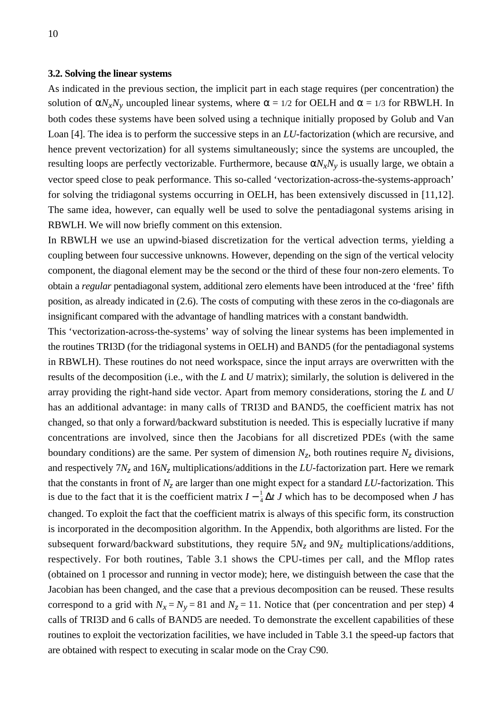#### **3.2. Solving the linear systems**

As indicated in the previous section, the implicit part in each stage requires (per concentration) the solution of  $\alpha N_x N_y$  uncoupled linear systems, where  $\alpha = 1/2$  for OELH and  $\alpha = 1/3$  for RBWLH. In both codes these systems have been solved using a technique initially proposed by Golub and Van Loan [4]. The idea is to perform the successive steps in an *LU*-factorization (which are recursive, and hence prevent vectorization) for all systems simultaneously; since the systems are uncoupled, the resulting loops are perfectly vectorizable. Furthermore, because  $\alpha N_x N_y$  is usually large, we obtain a vector speed close to peak performance. This so-called 'vectorization-across-the-systems-approach' for solving the tridiagonal systems occurring in OELH, has been extensively discussed in [11,12]. The same idea, however, can equally well be used to solve the pentadiagonal systems arising in RBWLH. We will now briefly comment on this extension.

In RBWLH we use an upwind-biased discretization for the vertical advection terms, yielding a coupling between four successive unknowns. However, depending on the sign of the vertical velocity component, the diagonal element may be the second or the third of these four non-zero elements. To obtain a *regular* pentadiagonal system, additional zero elements have been introduced at the 'free' fifth position, as already indicated in (2.6). The costs of computing with these zeros in the co-diagonals are insignificant compared with the advantage of handling matrices with a constant bandwidth.

This 'vectorization-across-the-systems' way of solving the linear systems has been implemented in the routines TRI3D (for the tridiagonal systems in OELH) and BAND5 (for the pentadiagonal systems in RBWLH). These routines do not need workspace, since the input arrays are overwritten with the results of the decomposition (i.e., with the *L* and *U* matrix); similarly, the solution is delivered in the array providing the right-hand side vector. Apart from memory considerations, storing the *L* and *U* has an additional advantage: in many calls of TRI3D and BAND5, the coefficient matrix has not changed, so that only a forward/backward substitution is needed. This is especially lucrative if many concentrations are involved, since then the Jacobians for all discretized PDEs (with the same boundary conditions) are the same. Per system of dimension  $N_z$ , both routines require  $N_z$  divisions, and respectively  $7N_z$  and  $16N_z$  multiplications/additions in the *LU*-factorization part. Here we remark that the constants in front of  $N_z$  are larger than one might expect for a standard *LU*-factorization. This is due to the fact that it is the coefficient matrix  $I - \frac{1}{4} \Delta t J$  which has to be decomposed when *J* has changed. To exploit the fact that the coefficient matrix is always of this specific form, its construction is incorporated in the decomposition algorithm. In the Appendix, both algorithms are listed. For the subsequent forward/backward substitutions, they require  $5N_z$  and  $9N_z$  multiplications/additions, respectively. For both routines, Table 3.1 shows the CPU-times per call, and the Mflop rates (obtained on 1 processor and running in vector mode); here, we distinguish between the case that the Jacobian has been changed, and the case that a previous decomposition can be reused. These results correspond to a grid with  $N_x = N_y = 81$  and  $N_z = 11$ . Notice that (per concentration and per step) 4 calls of TRI3D and 6 calls of BAND5 are needed. To demonstrate the excellent capabilities of these routines to exploit the vectorization facilities, we have included in Table 3.1 the speed-up factors that are obtained with respect to executing in scalar mode on the Cray C90.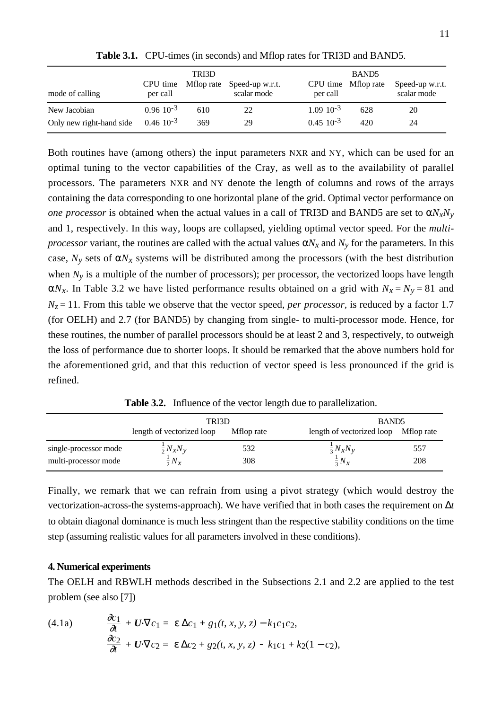|                          | TRI3D           |     |                                                    |                                 | <b>BAND5</b> |                                |  |  |
|--------------------------|-----------------|-----|----------------------------------------------------|---------------------------------|--------------|--------------------------------|--|--|
| mode of calling          | per call        |     | CPU time Mflop rate Speed-up w.r.t.<br>scalar mode | CPU time Mflop rate<br>per call |              | Speed-up w.r.t.<br>scalar mode |  |  |
| New Jacobian             | $0.96\ 10^{-3}$ | 610 | 22                                                 | $1.09 \; 10^{-3}$               | 628          | 20                             |  |  |
| Only new right-hand side | $0.46~10^{-3}$  | 369 | 29                                                 | $0.45 \; 10^{-3}$               | 420          | 24                             |  |  |

**Table 3.1.** CPU-times (in seconds) and Mflop rates for TRI3D and BAND5.

Both routines have (among others) the input parameters NXR and NY, which can be used for an optimal tuning to the vector capabilities of the Cray, as well as to the availability of parallel processors. The parameters NXR and NY denote the length of columns and rows of the arrays containing the data corresponding to one horizontal plane of the grid. Optimal vector performance on *one processor* is obtained when the actual values in a call of TRI3D and BAND5 are set to  $\alpha N_x N_y$ and 1, respectively. In this way, loops are collapsed, yielding optimal vector speed. For the *multiprocessor* variant, the routines are called with the actual values  $\alpha N_x$  and  $N_y$  for the parameters. In this case,  $N_y$  sets of  $\alpha N_x$  systems will be distributed among the processors (with the best distribution when  $N_v$  is a multiple of the number of processors); per processor, the vectorized loops have length  $\alpha N_x$ . In Table 3.2 we have listed performance results obtained on a grid with  $N_x = N_y = 81$  and  $N_z = 11$ . From this table we observe that the vector speed, *per processor*, is reduced by a factor 1.7 (for OELH) and 2.7 (for BAND5) by changing from single- to multi-processor mode. Hence, for these routines, the number of parallel processors should be at least 2 and 3, respectively, to outweigh the loss of performance due to shorter loops. It should be remarked that the above numbers hold for the aforementioned grid, and that this reduction of vector speed is less pronounced if the grid is refined.

**Table 3.2.** Influence of the vector length due to parallelization.

|                       | TRI3D                     |            |                                             | BAND <sub>5</sub> |  |  |
|-----------------------|---------------------------|------------|---------------------------------------------|-------------------|--|--|
|                       | length of vectorized loop | Mflop rate | length of vectorized loop Mflop rate        |                   |  |  |
| single-processor mode | $\frac{1}{2}N_{x}N_{y}$   | 532        | $\frac{1}{3}N_{\mathcal{X}}N_{\mathcal{V}}$ | 557               |  |  |
| multi-processor mode  | $\frac{1}{2}N_{x}$        | 308        | $\frac{1}{3}N_{x}$                          | 208               |  |  |

Finally, we remark that we can refrain from using a pivot strategy (which would destroy the vectorization-across-the systems-approach). We have verified that in both cases the requirement on ∆*t* to obtain diagonal dominance is much less stringent than the respective stability conditions on the time step (assuming realistic values for all parameters involved in these conditions).

## **4. Numerical experiments**

The OELH and RBWLH methods described in the Subsections 2.1 and 2.2 are applied to the test problem (see also [7])

(4.1a) 
$$
\begin{aligned}\n\frac{\partial c_1}{\partial t} + U \cdot \nabla c_1 &= \varepsilon \Delta c_1 + g_1(t, x, y, z) - k_1 c_1 c_2, \\
\frac{\partial c_2}{\partial t} + U \cdot \nabla c_2 &= \varepsilon \Delta c_2 + g_2(t, x, y, z) - k_1 c_1 + k_2 (1 - c_2),\n\end{aligned}
$$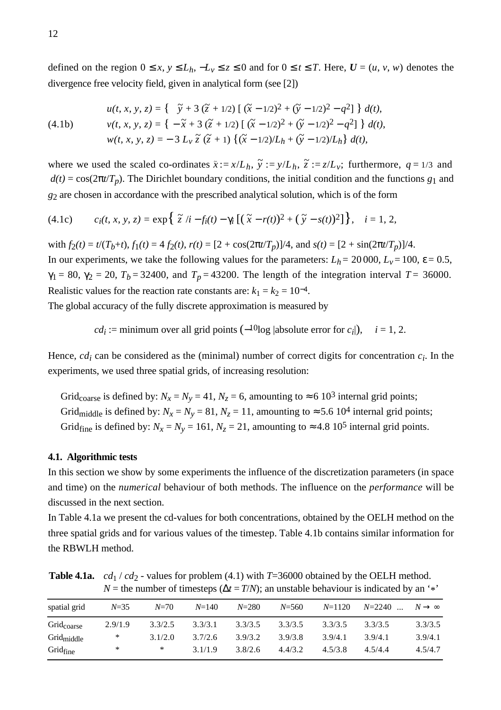defined on the region  $0 \le x, y \le L_h$ , −*L*<sub>*v*</sub> ≤ *z* ≤ 0 and for  $0 \le t \le T$ . Here, *U* = (*u*, *v*, *w*) denotes the divergence free velocity field, given in analytical form (see [2])

(4.1b)  

$$
u(t, x, y, z) = \begin{cases} \tilde{y} + 3(\tilde{z} + 1/2) \left[ (\tilde{x} - 1/2)^2 + (\tilde{y} - 1/2)^2 - q^2 \right] \right\} d(t), \\ v(t, x, y, z) = \begin{cases} -\tilde{x} + 3(\tilde{z} + 1/2) \left[ (\tilde{x} - 1/2)^2 + (\tilde{y} - 1/2)^2 - q^2 \right] \end{cases} d(t), \\ w(t, x, y, z) = -3 L_y \tilde{z} (\tilde{z} + 1) \left\{ (\tilde{x} - 1/2)/L_h + (\tilde{y} - 1/2)/L_h \right\} d(t), \end{cases}
$$

where we used the scaled co-ordinates  $\tilde{x}$ :=  $x/L_h$ ,  $\tilde{y}$ :=  $y/L_h$ ,  $\tilde{z}$ :=  $z/L_v$ ; furthermore,  $q = 1/3$  and  $d(t) = \cos(2\pi t/T_p)$ . The Dirichlet boundary conditions, the initial condition and the functions  $g_1$  and *g*2 are chosen in accordance with the prescribed analytical solution, which is of the form

$$
(4.1c) \qquad c_i(t, x, y, z) = \exp\left\{\begin{array}{l}\tilde{z} / i - f_i(t) - \gamma_i \left[ (\tilde{x} - r(t))^2 + (\tilde{y} - s(t))^2 \right] \right\}, \quad i = 1, 2,\end{array}
$$

with  $f_2(t) = t/(T_b + t)$ ,  $f_1(t) = 4 f_2(t)$ ,  $r(t) = [2 + \cos(2\pi t/T_p)]/4$ , and  $s(t) = [2 + \sin(2\pi t/T_p)]/4$ . In our experiments, we take the following values for the parameters:  $L_h = 20000$ ,  $L_v = 100$ ,  $\varepsilon = 0.5$ ,  $γ<sub>1</sub> = 80, γ<sub>2</sub> = 20, T<sub>b</sub> = 32400$ , and  $T<sub>p</sub> = 43200$ . The length of the integration interval  $T = 36000$ . Realistic values for the reaction rate constants are:  $k_1 = k_2 = 10^{-4}$ .

The global accuracy of the fully discrete approximation is measured by

$$
cd_i
$$
 := minimum over all grid points  $(-10 \log \text{ | absolute error for } c_i|)$ ,  $i = 1, 2$ .

Hence,  $cd_i$  can be considered as the (minimal) number of correct digits for concentration  $c_i$ . In the experiments, we used three spatial grids, of increasing resolution:

Grid<sub>coarse</sub> is defined by:  $N_x = N_y = 41$ ,  $N_z = 6$ , amounting to  $\approx 6 \times 10^3$  internal grid points; Grid<sub>middle</sub> is defined by:  $N_x = N_y = 81$ ,  $N_z = 11$ , amounting to  $\approx$  5.6 10<sup>4</sup> internal grid points; Grid<sub>fine</sub> is defined by:  $N_x = N_y = 161$ ,  $N_z = 21$ , amounting to  $\approx 4.8 \, 10^5$  internal grid points.

#### **4.1. Algorithmic tests**

In this section we show by some experiments the influence of the discretization parameters (in space and time) on the *numerical* behaviour of both methods. The influence on the *performance* will be discussed in the next section.

In Table 4.1a we present the cd-values for both concentrations, obtained by the OELH method on the three spatial grids and for various values of the timestep. Table 4.1b contains similar information for the RBWLH method.

**Table 4.1a.**  $cd_1$  /  $cd_2$  - values for problem (4.1) with  $T=36000$  obtained by the OELH method. *N* = the number of timesteps ( $\Delta t = T/N$ ); an unstable behaviour is indicated by an '\*'

| spatial grid           | $N = 35$ | $N=70$  | $N = 140$ | $N = 280$ | $N = 560$ | $N=1120$ | $N = 2240$ | $N \rightarrow \infty$ |
|------------------------|----------|---------|-----------|-----------|-----------|----------|------------|------------------------|
| Grid <sub>coarse</sub> | 2.9/1.9  | 3.3/2.5 | 3.3/3.1   | 3.3/3.5   | 3.3/3.5   | 3.3/3.5  | 3.3/3.5    | 3.3/3.5                |
| Grid <sub>middle</sub> | *        | 3.1/2.0 | 3.7/2.6   | 3.9/3.2   | 3.9/3.8   | 3.9/4.1  | 3.9/4.1    | 3.9/4.1                |
| Gridfine               | *        | $\ast$  | 3.1/1.9   | 3.8/2.6   | 4.4/3.2   | 4.5/3.8  | 4.5/4.4    | 4.5/4.7                |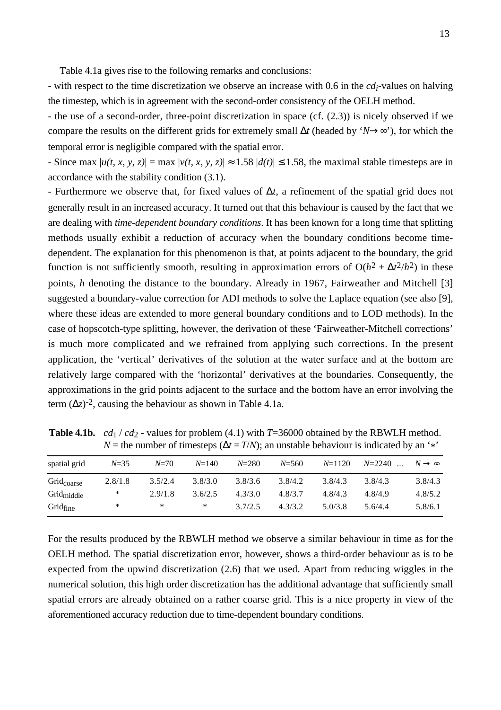Table 4.1a gives rise to the following remarks and conclusions:

- with respect to the time discretization we observe an increase with 0.6 in the *cd*<sub>*i*</sub>-values on halving the timestep, which is in agreement with the second-order consistency of the OELH method.

- the use of a second-order, three-point discretization in space (cf. (2.3)) is nicely observed if we compare the results on the different grids for extremely small ∆*t* (headed by '*N*→∞'), for which the temporal error is negligible compared with the spatial error.

- Since max  $|u(t, x, y, z)| = \max |v(t, x, y, z)| \approx 1.58$   $|d(t)| \le 1.58$ , the maximal stable timesteps are in accordance with the stability condition (3.1).

- Furthermore we observe that, for fixed values of ∆*t*, a refinement of the spatial grid does not generally result in an increased accuracy. It turned out that this behaviour is caused by the fact that we are dealing with *time-dependent boundary conditions*. It has been known for a long time that splitting methods usually exhibit a reduction of accuracy when the boundary conditions become timedependent. The explanation for this phenomenon is that, at points adjacent to the boundary, the grid function is not sufficiently smooth, resulting in approximation errors of  $O(h^2 + \Delta t^2/h^2)$  in these points, *h* denoting the distance to the boundary. Already in 1967, Fairweather and Mitchell [3] suggested a boundary-value correction for ADI methods to solve the Laplace equation (see also [9], where these ideas are extended to more general boundary conditions and to LOD methods). In the case of hopscotch-type splitting, however, the derivation of these 'Fairweather-Mitchell corrections' is much more complicated and we refrained from applying such corrections. In the present application, the 'vertical' derivatives of the solution at the water surface and at the bottom are relatively large compared with the 'horizontal' derivatives at the boundaries. Consequently, the approximations in the grid points adjacent to the surface and the bottom have an error involving the term (∆*z*) -2, causing the behaviour as shown in Table 4.1a.

| spatial grid           | $N = 35$ | $N = 70$ | $N = 140$ | $N = 280$ | $N = 560$ | $N = 1120$ | $N = 2240$ | $N \rightarrow \infty$ |
|------------------------|----------|----------|-----------|-----------|-----------|------------|------------|------------------------|
| Grid <sub>coarse</sub> | 2.8/1.8  | 3.5/2.4  | 3.8/3.0   | 3.8/3.6   | 3.8/4.2   | 3.8/4.3    | 3.8/4.3    | 3.8/4.3                |
| Grid <sub>middle</sub> | $\ast$   | 2.9/1.8  | 3.6/2.5   | 4.3/3.0   | 4.8/3.7   | 4.8/4.3    | 4.8/4.9    | 4.8/5.2                |
| Gridfine               | *        | ∗        | $\ast$    | 3.7/2.5   | 4.3/3.2   | 5.0/3.8    | 5.6/4.4    | 5.8/6.1                |

**Table 4.1b.**  $cd_1 / cd_2$  - values for problem (4.1) with  $T=36000$  obtained by the RBWLH method. *N* = the number of timesteps ( $\Delta t = T/N$ ); an unstable behaviour is indicated by an '\*'

For the results produced by the RBWLH method we observe a similar behaviour in time as for the OELH method. The spatial discretization error, however, shows a third-order behaviour as is to be expected from the upwind discretization (2.6) that we used. Apart from reducing wiggles in the numerical solution, this high order discretization has the additional advantage that sufficiently small spatial errors are already obtained on a rather coarse grid. This is a nice property in view of the aforementioned accuracy reduction due to time-dependent boundary conditions.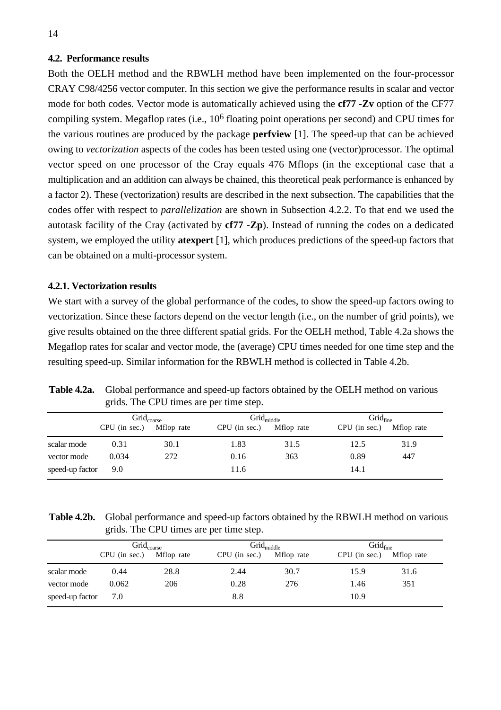# **4.2. Performance results**

Both the OELH method and the RBWLH method have been implemented on the four-processor CRAY C98/4256 vector computer. In this section we give the performance results in scalar and vector mode for both codes. Vector mode is automatically achieved using the **cf77 -Zv** option of the CF77 compiling system. Megaflop rates (i.e., 106 floating point operations per second) and CPU times for the various routines are produced by the package **perfview** [1]. The speed-up that can be achieved owing to *vectorization* aspects of the codes has been tested using one (vector)processor. The optimal vector speed on one processor of the Cray equals 476 Mflops (in the exceptional case that a multiplication and an addition can always be chained, this theoretical peak performance is enhanced by a factor 2). These (vectorization) results are described in the next subsection. The capabilities that the codes offer with respect to *parallelization* are shown in Subsection 4.2.2. To that end we used the autotask facility of the Cray (activated by **cf77 -Zp**). Instead of running the codes on a dedicated system, we employed the utility **atexpert** [1], which produces predictions of the speed-up factors that can be obtained on a multi-processor system.

# **4.2.1. Vectorization results**

We start with a survey of the global performance of the codes, to show the speed-up factors owing to vectorization. Since these factors depend on the vector length (i.e., on the number of grid points), we give results obtained on the three different spatial grids. For the OELH method, Table 4.2a shows the Megaflop rates for scalar and vector mode, the (average) CPU times needed for one time step and the resulting speed-up. Similar information for the RBWLH method is collected in Table 4.2b.

| <b>Table 4.2a.</b> Global performance and speed-up factors obtained by the OELH method on various |
|---------------------------------------------------------------------------------------------------|
| grids. The CPU times are per time step.                                                           |

|                 | Grid <sub>coarse</sub> |            | $Grid_{middle}$ |            | Grid <sub>fine</sub>     |      |  |
|-----------------|------------------------|------------|-----------------|------------|--------------------------|------|--|
|                 | CPU (in sec.)          | Mflop rate | CPU (in sec.)   | Mflop rate | CPU (in sec.) Mflop rate |      |  |
| scalar mode     | 0.31                   | 30.1       | 1.83            | 31.5       | 12.5                     | 31.9 |  |
| vector mode     | 0.034                  | 272        | 0.16            | 363        | 0.89                     | 447  |  |
| speed-up factor | 9.0                    |            | 11.6            |            | 14.1                     |      |  |

**Table 4.2b.** Global performance and speed-up factors obtained by the RBWLH method on various grids. The CPU times are per time step.

|                 | $\operatorname{Grid}_{\operatorname{coarse}}$ |            | $Grid_{middle}$ |            | Grid <sub>fine</sub> |            |  |
|-----------------|-----------------------------------------------|------------|-----------------|------------|----------------------|------------|--|
|                 | CPU (in sec.)                                 | Mflop rate | CPU (in sec.)   | Mflop rate | $CPU$ (in sec.)      | Mflop rate |  |
| scalar mode     | 0.44                                          | 28.8       | 2.44            | 30.7       | 15.9                 | 31.6       |  |
| vector mode     | 0.062                                         | 206        | 0.28            | 276        | 1.46                 | 351        |  |
| speed-up factor | 7.0                                           |            | 8.8             |            | 10.9                 |            |  |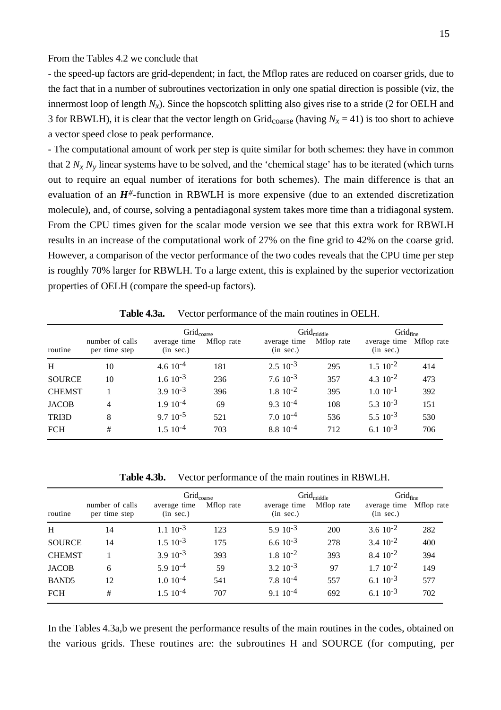From the Tables 4.2 we conclude that

- the speed-up factors are grid-dependent; in fact, the Mflop rates are reduced on coarser grids, due to the fact that in a number of subroutines vectorization in only one spatial direction is possible (viz, the innermost loop of length  $N_x$ ). Since the hopscotch splitting also gives rise to a stride (2 for OELH and 3 for RBWLH), it is clear that the vector length on Grid<sub>coarse</sub> (having  $N_x = 41$ ) is too short to achieve a vector speed close to peak performance.

- The computational amount of work per step is quite similar for both schemes: they have in common that  $2 N<sub>x</sub> N<sub>y</sub>$  linear systems have to be solved, and the 'chemical stage' has to be iterated (which turns out to require an equal number of iterations for both schemes). The main difference is that an evaluation of an  $H^{\#}$ -function in RBWLH is more expensive (due to an extended discretization molecule), and, of course, solving a pentadiagonal system takes more time than a tridiagonal system. From the CPU times given for the scalar mode version we see that this extra work for RBWLH results in an increase of the computational work of 27% on the fine grid to 42% on the coarse grid. However, a comparison of the vector performance of the two codes reveals that the CPU time per step is roughly 70% larger for RBWLH. To a large extent, this is explained by the superior vectorization properties of OELH (compare the speed-up factors).

|               |                                  | Grid <sub>coarse</sub>              |            |                                     | $Grid_{middle}$ | Gridfine                                |     |  |
|---------------|----------------------------------|-------------------------------------|------------|-------------------------------------|-----------------|-----------------------------------------|-----|--|
| routine       | number of calls<br>per time step | average time<br>$(in \text{ sec.})$ | Mflop rate | average time<br>$(in \text{ sec.})$ | Mflop rate      | average time Mflop rate<br>$(in \sec.)$ |     |  |
| H             | 10                               | 4.6 $10^{-4}$                       | 181        | $2.5 \, 10^{-3}$                    | 295             | $1.5 \; 10^{-2}$                        | 414 |  |
| <b>SOURCE</b> | 10                               | $1.6 \, 10^{-3}$                    | 236        | $7.6 \, 10^{-3}$                    | 357             | 4.3 $10^{-2}$                           | 473 |  |
| <b>CHEMST</b> |                                  | $3.910^{-3}$                        | 396        | $1.8 \; 10^{-2}$                    | 395             | $1.010^{-1}$                            | 392 |  |
| <b>JACOB</b>  | 4                                | $1.910^{-4}$                        | 69         | $9.3 \times 10^{-4}$                | 108             | 5.3 $10^{-3}$                           | 151 |  |
| TRI3D         | 8                                | $9.7 \; 10^{-5}$                    | 521        | $7.0 \, 10^{-4}$                    | 536             | $5.5 \, 10^{-3}$                        | 530 |  |
| <b>FCH</b>    | #                                | $1.5 \, 10^{-4}$                    | 703        | $8.8 \, 10^{-4}$                    | 712             | 6.1 $10^{-3}$                           | 706 |  |

**Table 4.3a.** Vector performance of the main routines in OELH.

**Table 4.3b.** Vector performance of the main routines in RBWLH.

|               |                                  | Grid <sub>coarse</sub>       |            |                                     | $Grid_{middle}$ | Gridfine                     |            |
|---------------|----------------------------------|------------------------------|------------|-------------------------------------|-----------------|------------------------------|------------|
| routine       | number of calls<br>per time step | average time<br>$(in \sec.)$ | Mflop rate | average time<br>$(in \text{ sec.})$ | Mflop rate      | average time<br>$(in \sec.)$ | Mflop rate |
| H             | 14                               | $1.1 \, 10^{-3}$             | 123        | $5.9\ 10^{-3}$                      | 200             | 3.6 $10^{-2}$                | 282        |
| <b>SOURCE</b> | 14                               | $1.5 \; 10^{-3}$             | 175        | $6.610^{-3}$                        | 278             | $3.4 \cdot 10^{-2}$          | 400        |
| <b>CHEMST</b> |                                  | $3.910^{-3}$                 | 393        | $1.8 \; 10^{-2}$                    | 393             | $8.4 \cdot 10^{-2}$          | 394        |
| <b>JACOB</b>  | 6                                | $5.910^{-4}$                 | 59         | $3.2 \, 10^{-3}$                    | 97              | $1.7 \times 10^{-2}$         | 149        |
| <b>BAND5</b>  | 12                               | $1.0 \, 10^{-4}$             | 541        | $7.8 \, 10^{-4}$                    | 557             | 6.1 $10^{-3}$                | 577        |
| <b>FCH</b>    | #                                | $1.5 \, 10^{-4}$             | 707        | $9.1 \, 10^{-4}$                    | 692             | 6.1 $10^{-3}$                | 702        |

In the Tables 4.3a,b we present the performance results of the main routines in the codes, obtained on the various grids. These routines are: the subroutines H and SOURCE (for computing, per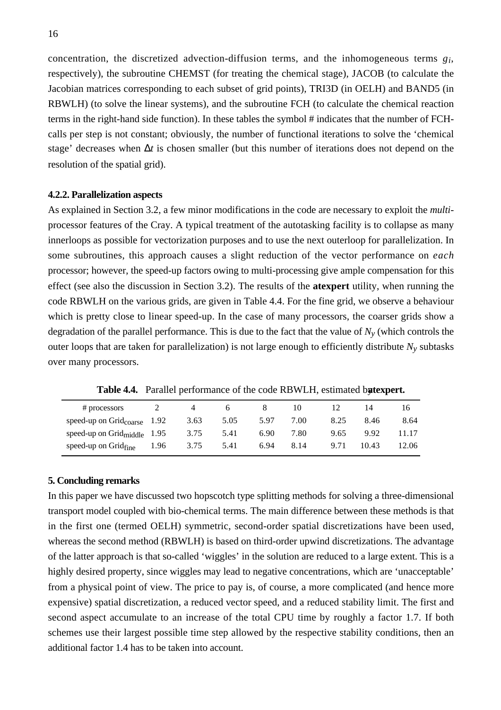concentration, the discretized advection-diffusion terms, and the inhomogeneous terms *gi* , respectively), the subroutine CHEMST (for treating the chemical stage), JACOB (to calculate the Jacobian matrices corresponding to each subset of grid points), TRI3D (in OELH) and BAND5 (in RBWLH) (to solve the linear systems), and the subroutine FCH (to calculate the chemical reaction terms in the right-hand side function). In these tables the symbol # indicates that the number of FCHcalls per step is not constant; obviously, the number of functional iterations to solve the 'chemical stage' decreases when ∆*t* is chosen smaller (but this number of iterations does not depend on the resolution of the spatial grid).

#### **4.2.2. Parallelization aspects**

As explained in Section 3.2, a few minor modifications in the code are necessary to exploit the *multi*processor features of the Cray. A typical treatment of the autotasking facility is to collapse as many innerloops as possible for vectorization purposes and to use the next outerloop for parallelization. In some subroutines, this approach causes a slight reduction of the vector performance on *each* processor; however, the speed-up factors owing to multi-processing give ample compensation for this effect (see also the discussion in Section 3.2). The results of the **atexpert** utility, when running the code RBWLH on the various grids, are given in Table 4.4. For the fine grid, we observe a behaviour which is pretty close to linear speed-up. In the case of many processors, the coarser grids show a degradation of the parallel performance. This is due to the fact that the value of  $N<sub>v</sub>$  (which controls the outer loops that are taken for parallelization) is not large enough to efficiently distribute  $N<sub>v</sub>$  subtasks over many processors.

Table 4.4. Parallel performance of the code RBWLH, estimated by **atempts**.

| # processors                          |      |      |      |      | $\mathbf{I}(\mathbf{I})$ |      | 14    | 10.   |
|---------------------------------------|------|------|------|------|--------------------------|------|-------|-------|
| speed-up on $Grid_{coarse}$ 1.92      |      | 3.63 | 5.05 | 5.97 | 7.00                     | 8.25 | 8.46  | 8.64  |
| speed-up on Grid $_{\rm middle}$ 1.95 |      | 3.75 | 5.41 | 6.90 | 7.80                     | 9.65 | 9.92  | 11.17 |
| speed-up on Gridfine                  | 1.96 | 3.75 | 5.41 | 6.94 | 8.14                     | 9.71 | 10.43 | 12.06 |

## **5. Concluding remarks**

In this paper we have discussed two hopscotch type splitting methods for solving a three-dimensional transport model coupled with bio-chemical terms. The main difference between these methods is that in the first one (termed OELH) symmetric, second-order spatial discretizations have been used, whereas the second method (RBWLH) is based on third-order upwind discretizations. The advantage of the latter approach is that so-called 'wiggles' in the solution are reduced to a large extent. This is a highly desired property, since wiggles may lead to negative concentrations, which are 'unacceptable' from a physical point of view. The price to pay is, of course, a more complicated (and hence more expensive) spatial discretization, a reduced vector speed, and a reduced stability limit. The first and second aspect accumulate to an increase of the total CPU time by roughly a factor 1.7. If both schemes use their largest possible time step allowed by the respective stability conditions, then an additional factor 1.4 has to be taken into account.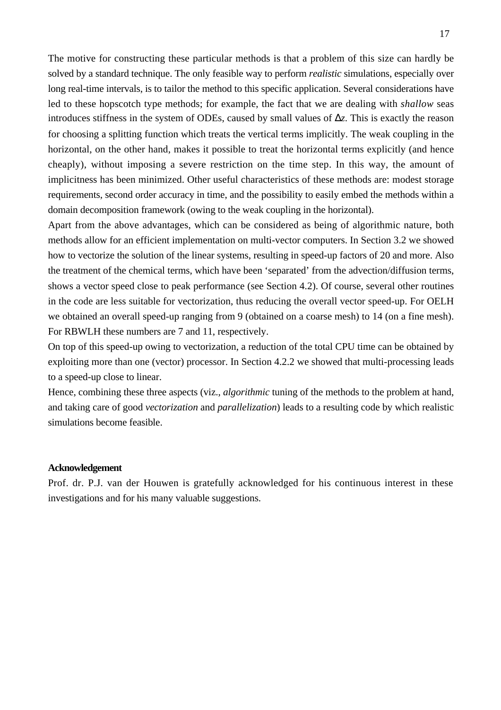The motive for constructing these particular methods is that a problem of this size can hardly be solved by a standard technique. The only feasible way to perform *realistic* simulations, especially over long real-time intervals, is to tailor the method to this specific application. Several considerations have led to these hopscotch type methods; for example, the fact that we are dealing with *shallow* seas introduces stiffness in the system of ODEs, caused by small values of ∆*z*. This is exactly the reason for choosing a splitting function which treats the vertical terms implicitly. The weak coupling in the horizontal, on the other hand, makes it possible to treat the horizontal terms explicitly (and hence cheaply), without imposing a severe restriction on the time step. In this way, the amount of implicitness has been minimized. Other useful characteristics of these methods are: modest storage requirements, second order accuracy in time, and the possibility to easily embed the methods within a domain decomposition framework (owing to the weak coupling in the horizontal).

Apart from the above advantages, which can be considered as being of algorithmic nature, both methods allow for an efficient implementation on multi-vector computers. In Section 3.2 we showed how to vectorize the solution of the linear systems, resulting in speed-up factors of 20 and more. Also the treatment of the chemical terms, which have been 'separated' from the advection/diffusion terms, shows a vector speed close to peak performance (see Section 4.2). Of course, several other routines in the code are less suitable for vectorization, thus reducing the overall vector speed-up. For OELH we obtained an overall speed-up ranging from 9 (obtained on a coarse mesh) to 14 (on a fine mesh). For RBWLH these numbers are 7 and 11, respectively.

On top of this speed-up owing to vectorization, a reduction of the total CPU time can be obtained by exploiting more than one (vector) processor. In Section 4.2.2 we showed that multi-processing leads to a speed-up close to linear.

Hence, combining these three aspects (viz., *algorithmic* tuning of the methods to the problem at hand, and taking care of good *vectorization* and *parallelization*) leads to a resulting code by which realistic simulations become feasible.

#### **Acknowledgement**

Prof. dr. P.J. van der Houwen is gratefully acknowledged for his continuous interest in these investigations and for his many valuable suggestions.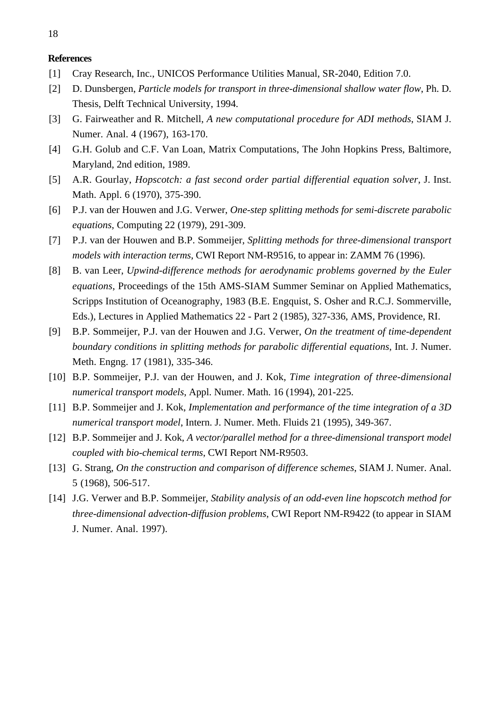# **References**

- [1] Cray Research, Inc., UNICOS Performance Utilities Manual, SR-2040, Edition 7.0.
- [2] D. Dunsbergen, *Particle models for transport in three-dimensional shallow water flow*, Ph. D. Thesis, Delft Technical University, 1994.
- [3] G. Fairweather and R. Mitchell, *A new computational procedure for ADI methods*, SIAM J. Numer. Anal. 4 (1967), 163-170.
- [4] G.H. Golub and C.F. Van Loan, Matrix Computations, The John Hopkins Press, Baltimore, Maryland, 2nd edition, 1989.
- [5] A.R. Gourlay, *Hopscotch: a fast second order partial differential equation solver*, J. Inst. Math. Appl. 6 (1970), 375-390.
- [6] P.J. van der Houwen and J.G. Verwer, *One-step splitting methods for semi-discrete parabolic equations*, Computing 22 (1979), 291-309.
- [7] P.J. van der Houwen and B.P. Sommeijer, *Splitting methods for three-dimensional transport models with interaction terms*, CWI Report NM-R9516, to appear in: ZAMM 76 (1996).
- [8] B. van Leer, *Upwind-difference methods for aerodynamic problems governed by the Euler equations*, Proceedings of the 15th AMS-SIAM Summer Seminar on Applied Mathematics, Scripps Institution of Oceanography, 1983 (B.E. Engquist, S. Osher and R.C.J. Sommerville, Eds.), Lectures in Applied Mathematics 22 - Part 2 (1985), 327-336, AMS, Providence, RI.
- [9] B.P. Sommeijer, P.J. van der Houwen and J.G. Verwer, *On the treatment of time-dependent boundary conditions in splitting methods for parabolic differential equations*, Int. J. Numer. Meth. Engng. 17 (1981), 335-346.
- [10] B.P. Sommeijer, P.J. van der Houwen, and J. Kok, *Time integration of three-dimensional numerical transport models*, Appl. Numer. Math. 16 (1994), 201-225.
- [11] B.P. Sommeijer and J. Kok, *Implementation and performance of the time integration of a 3D numerical transport model*, Intern. J. Numer. Meth. Fluids 21 (1995), 349-367.
- [12] B.P. Sommeijer and J. Kok, *A vector/parallel method for a three-dimensional transport model coupled with bio-chemical terms*, CWI Report NM-R9503.
- [13] G. Strang, *On the construction and comparison of difference schemes*, SIAM J. Numer. Anal. 5 (1968), 506-517.
- [14] J.G. Verwer and B.P. Sommeijer, *Stability analysis of an odd-even line hopscotch method for three-dimensional advection-diffusion problems*, CWI Report NM-R9422 (to appear in SIAM J. Numer. Anal. 1997).